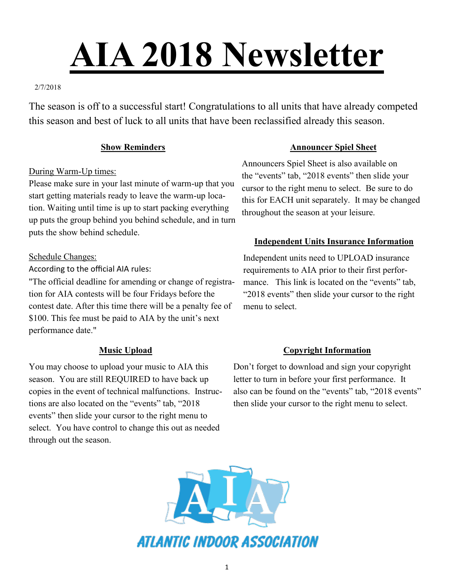# **AIA 2018 Newsletter**

## 2/7/2018

The season is off to a successful start! Congratulations to all units that have already competed this season and best of luck to all units that have been reclassified already this season.

## **Show Reminders**

## During Warm-Up times:

Please make sure in your last minute of warm-up that you start getting materials ready to leave the warm-up location. Waiting until time is up to start packing everything up puts the group behind you behind schedule, and in turn puts the show behind schedule.

## Schedule Changes:

According to the official AIA rules:

"The official deadline for amending or change of registration for AIA contests will be four Fridays before the contest date. After this time there will be a penalty fee of \$100. This fee must be paid to AIA by the unit's next performance date."

# **Music Upload**

You may choose to upload your music to AIA this season. You are still REQUIRED to have back up copies in the event of technical malfunctions. Instructions are also located on the "events" tab, "2018 events" then slide your cursor to the right menu to select. You have control to change this out as needed through out the season.

## **Announcer Spiel Sheet**

Announcers Spiel Sheet is also available on the "events" tab, "2018 events" then slide your cursor to the right menu to select. Be sure to do this for EACH unit separately. It may be changed throughout the season at your leisure.

# **Independent Units Insurance Information**

Independent units need to UPLOAD insurance requirements to AIA prior to their first performance. This link is located on the "events" tab. "2018 events" then slide your cursor to the right menu to select.

# **Copyright Information**

Don't forget to download and sign your copyright letter to turn in before your first performance. It also can be found on the "events" tab, "2018 events" then slide your cursor to the right menu to select.